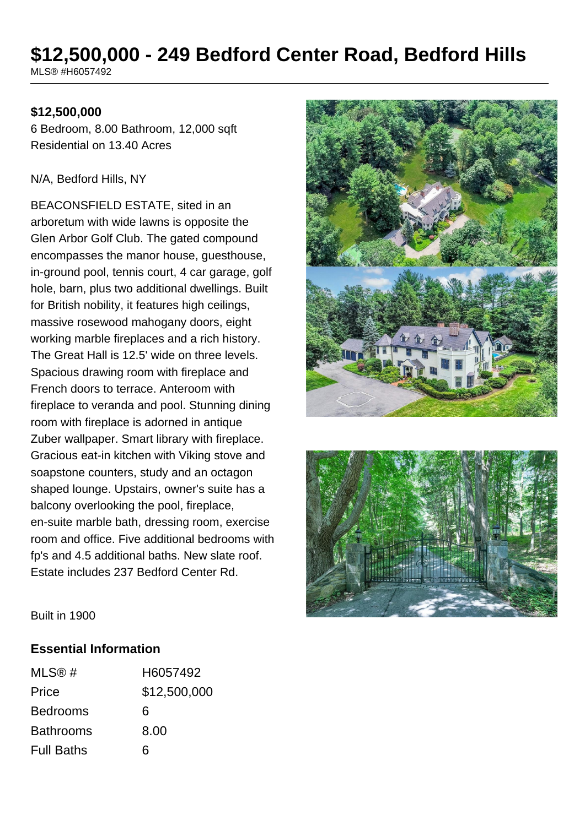# **\$12,500,000 - 249 Bedford Center Road, Bedford Hills**

MLS® #H6057492

#### **\$12,500,000**

6 Bedroom, 8.00 Bathroom, 12,000 sqft Residential on 13.40 Acres

#### N/A, Bedford Hills, NY

BEACONSFIELD ESTATE, sited in an arboretum with wide lawns is opposite the Glen Arbor Golf Club. The gated compound encompasses the manor house, guesthouse, in-ground pool, tennis court, 4 car garage, golf hole, barn, plus two additional dwellings. Built for British nobility, it features high ceilings, massive rosewood mahogany doors, eight working marble fireplaces and a rich history. The Great Hall is 12.5' wide on three levels. Spacious drawing room with fireplace and French doors to terrace. Anteroom with fireplace to veranda and pool. Stunning dining room with fireplace is adorned in antique Zuber wallpaper. Smart library with fireplace. Gracious eat-in kitchen with Viking stove and soapstone counters, study and an octagon shaped lounge. Upstairs, owner's suite has a balcony overlooking the pool, fireplace, en-suite marble bath, dressing room, exercise room and office. Five additional bedrooms with fp's and 4.5 additional baths. New slate roof. Estate includes 237 Bedford Center Rd.





Built in 1900

#### **Essential Information**

| MLS@#             | H6057492     |
|-------------------|--------------|
| Price             | \$12,500,000 |
| <b>Bedrooms</b>   | 6            |
| <b>Bathrooms</b>  | 8.00         |
| <b>Full Baths</b> | ิธ           |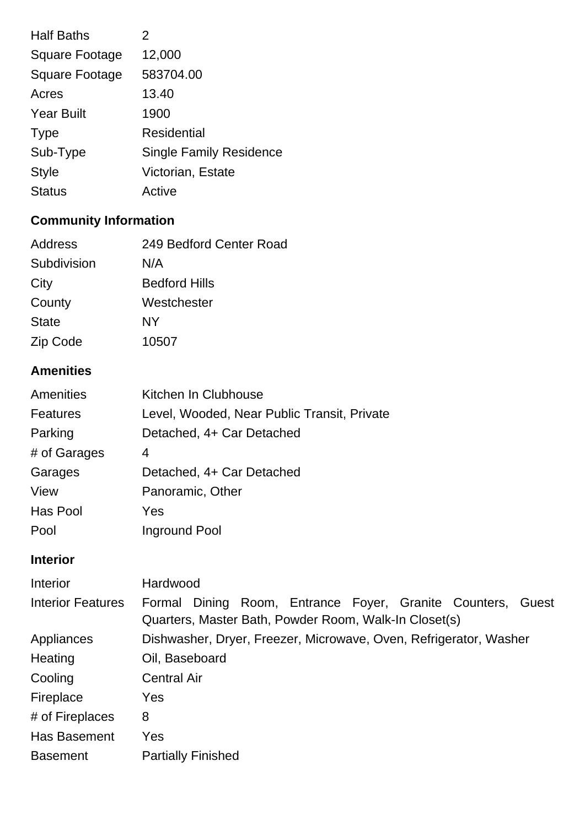| <b>Half Baths</b>     | 2                              |
|-----------------------|--------------------------------|
| Square Footage        | 12,000                         |
| <b>Square Footage</b> | 583704.00                      |
| Acres                 | 13.40                          |
| <b>Year Built</b>     | 1900                           |
| <b>Type</b>           | Residential                    |
| Sub-Type              | <b>Single Family Residence</b> |
| <b>Style</b>          | Victorian, Estate              |
| <b>Status</b>         | Active                         |

# **Community Information**

| Address      | 249 Bedford Center Road |
|--------------|-------------------------|
| Subdivision  | N/A                     |
| City         | <b>Bedford Hills</b>    |
| County       | Westchester             |
| <b>State</b> | NΥ                      |
| Zip Code     | 10507                   |

# **Amenities**

| Amenities       | Kitchen In Clubhouse                        |
|-----------------|---------------------------------------------|
| <b>Features</b> | Level, Wooded, Near Public Transit, Private |
| Parking         | Detached, 4+ Car Detached                   |
| # of Garages    | 4                                           |
| Garages         | Detached, 4+ Car Detached                   |
| View            | Panoramic, Other                            |
| Has Pool        | Yes                                         |
| Pool            | Inground Pool                               |

# **Interior**

| Interior                 | Hardwood                                                          |  |
|--------------------------|-------------------------------------------------------------------|--|
| <b>Interior Features</b> | Formal Dining Room, Entrance Foyer, Granite Counters, Guest       |  |
|                          | Quarters, Master Bath, Powder Room, Walk-In Closet(s)             |  |
| Appliances               | Dishwasher, Dryer, Freezer, Microwave, Oven, Refrigerator, Washer |  |
| Heating                  | Oil, Baseboard                                                    |  |
| Cooling                  | <b>Central Air</b>                                                |  |
| Fireplace                | Yes                                                               |  |
| # of Fireplaces          | 8                                                                 |  |
| Has Basement             | Yes                                                               |  |
| <b>Basement</b>          | <b>Partially Finished</b>                                         |  |